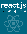# react, is by example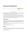# **Password Strength Meter**

| <b>Password</b> |                                       |
|-----------------|---------------------------------------|
| <br>✔           |                                       |
|                 | A good password is:                   |
|                 | $\bullet$ 6+ characters               |
|                 | • with at least one digit             |
|                 | • with at least one special character |
|                 |                                       |

Password Strength Meter

Registration form is like the first step that user needs to take to use your web application. It's interesting how often it is not optimal part of the app. Having an unfriendly registration form may hurt (and usually hurts) the conversion rate of your service badly.

That's why dynamic features are often starting with forms. On-the-fly validations, popovers and so on - all of these are common in the modern web. All to increase chance of signing up by an user.

Apart from the sole signing up, a good registration form needs to make sure that an user does not do anything wrong - like setting too simple password. Password strength meters are a great way to show an user how his password should be constructed to be secure.

## **Requirements**

This example will use  $React-Bootstrap<sup>1</sup>$  $React-Bootstrap<sup>1</sup>$  components. Remember that React-Bootstrap must be installed separately - visit the main page of the project for installation details. Using React Bootstrap simplifies the example because common UI elements like progress bars don't need to be created from scratch.

Apart from this, a tiny utility called [classnames](https://www.npmjs.com/package/classnames)[²](#page-1-1) will be used. It allows you to express CSS class set with conditionals in an easy way.

Of course the last element is the React library itself.

### **Recipe**

In this example you don't need to make any assumptions about how the password strength meter will work. There is the static HTML mockup ready to reference how the strength meter will look and

<span id="page-1-0"></span><sup>&</sup>lt;sup>1</sup><http://react-bootstrap.github.io>

<span id="page-1-1"></span>²<https://www.npmjs.com/package/classnames>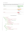behave, based on the password input. It is written using the Bootstrap CSS framework, so elements presented will align well with components that React-Bootstrap provides.

| <b>Great Password</b>         |                                                      |
|-------------------------------|------------------------------------------------------|
| ✔<br>                         |                                                      |
|                               | A good password is:                                  |
|                               | $\bullet$ 6+ characters<br>• with at least one digit |
|                               | • with at least one special character                |
|                               |                                                      |
|                               |                                                      |
| <b>Can-be-better Password</b> |                                                      |
| $\Delta$<br>                  |                                                      |
|                               | A good password is:                                  |
|                               | $\bullet$ 6+ characters                              |
|                               | • with at least one digit                            |
|                               | • with at least one special character                |
|                               |                                                      |
|                               |                                                      |
| <b>Bad Password</b>           |                                                      |
| $\mathbf x$<br>               |                                                      |
|                               | A good password is:                                  |
|                               | $\bullet$ 6+ characters                              |
|                               | • with at least one digit                            |
|                               | • with at least one special character                |

### Password Strength Meter States

```
1 <div class="container">
2 <div class="row">
3 <div class="col-md-8">
4 <div class="form-group has-success has-feedback">
5 <label class="control-label"
6 for="password-input">Password</label>
7 <input type="password"
8 class="form-control"
9 id="password-input"
10 value="FW&$2iVaFt3va6bGu4Bd"
11 placeholder="Password" />
12 <span class="glyphicon glyphicon-ok form-control-feedback"
13 aria-hidden="true"></span>
14 </div>
15 </div>
16 <div class="col-md-4">
17 <div class="panel panel-default">
18 <div class="panel-body">
19 <div class="progress">
20 <div class="progress-bar progress-bar-success"
21 style="width:100%"></div>
22 </div>
```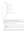```
23 <h5>A good password is:</h5>
24 <ul>
25 <li class="text-success">
26 Small \left\langle \text{small} \right\rangle27 6+ characters
28 </small>
29 </li>
30 <li class="text-success">
31 Small \left\langle \text{small} \right\rangle32 with at least one digit
33 \checkmark/small>
34 </li>
35 <li class="text-success">
36 Small
37 with at least one special character
38 </small>
39 </li>
40 </ul>
41 </div>
42 </div>
43 </div>
44 <!-- Rest of states... -->
45 </div>
46 </div>
```
This piece of HTML defines the whole structure that will be duplicated. All "creative" work that needs to be done here is to attach the dynamic behaviour and state transitions.

There are some *principles* that states how a good password should look like. You can think that a password satisfies or not those principles. That will be important later - your behaviour will be built around this concept.

As you can see, there are three states of the strength meter UI:

- Awful password progress bar is red and an input is in "red" state (1/3 or less principles satisfied)
- Mediocre password progress bar is yellow and an input is in "yellow" state (1/3 to 2/3 principles satisfied)
- Great password progress bar is green and an input is in "green" state (2/3 or more principles satisfied)

Since you got a HTML mockup, after each step you can compare output produced by React with HTML markup of the static example. Another approach (see Prefixer example if you want to see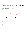this approach in action) is to copy this HTML and then attach the dynamic behaviour to it. In this example the code will start from the top. First an empty component will be created and then the logical parts of this UI will be defined. After those steps there will be iterations to finish with the markup desired.

Enough said, let's start with an empty component:

```
1 class PasswordInput extends React.Component {
2 render() { return null; }
3 }
```
Let's think about what logical parts this part of UI has. On the highest level it has a *strength meter* and a password field. A strength meter consist of principles progress and principles list.



Annotated Password Strength Meter

This concepts will map directly to React components that you'll create. A static markup is also placed inside the grid. You can use Grid, Row and Col to create a HTML markup like this:

```
1 <div class="container">
2 <div class="row">
3 <div class="col-md-8">
4 ...
5 </div>
6 <div class="col-md-4">
7 ...
8 </div>
9 </div>
10 </div>
```
Which maps directly into: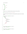Password Strength Meter 5

```
1 <Grid>
2 <Row>
3 <Col md={8}>
4 ...
5 </Col>
6 <Col md={4}>
7 ...
8 </Col>
9 </Row>
10 </Grid>
```
Remember to import needed React-Bootstrap components at the top of the file:

```
1 import { Grid, Row, Col } from 'react-bootstrap';
```
Let's mimic the top structure (the grid) of your markup and define components based on the logical division!

```
1 class PasswordInput extends React.Component {
 2 render() {
 3 return (
 4 <Grid>
 5 <Row>
 6 \langle Col \text{md} = \{8\} \rangle7 <PasswordField />
 8 </Col>
 9 \langle Col \text{md}=\{4\}\rangle10 <StrengthMeter />
11 </Col>
12 </Row>
13 </Grid>
14 );
15 }
16 }
17
18 class StrengthMeter extends React.Component {
19 render() { return null; }
20 }
21
22 class PasswordField extends React.Component {
23 render() { return null; }
24 }
```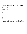So far, so good. In this step you have a "framework" to work with. Another step is to add data. Default properties technique can be very helpful here. Good password principles will have a name and a predicate to check whether a principle is satisfied or not. Such predicate will get a password as an argument - it's a simple plain JavaScript function.

```
1 const SPECIAL_CHARS_REGEX = /[^A-Za-z0-9]/;
2 const DIGIT_REGEX = /[0-9]/;
3
4 PasswordInput.defaultProps = {
5 goodPasswordPrinciples: [
6 {
7 label: "6+ characters",
8 predicate: password => password.length >= 6
9 },
10 {
11 label: "with at least one digit",
12 predicate: password => password.match(DIGIT_REGEX) !== null
13 },
14 {
15 label: "with at least one special character",
16 predicate: password => password.match(SPECIAL_CHARS_REGEX) !== null
17 }
18 ]
19 };
```
As you can see, the default principles are taken straight from the mockup. You can provide your own while instantiating the PasswordInput component, making it powerfully configurable for free.

Since in this stage you got two logical components to implement, you need to choose one. In this recipe StrengthMeter will be implemented as the first one.

Let's render *something*. Since in the static mockup the whole strength meter is wrapped within a Bootstrap's Panel, let's render the empty panel at first. Remember to import Panel component class from the React-Bootstrap package:

1 **import** { Grid, Row, Col, Panel } from 'react-bootstrap';

Then you can use it: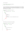Password Strength Meter 7 7

```
1 class StrengthMeter extends React.Component {
2 render() { return (<Panel />); }
3 }
```
Let's start with implementing a static list of principles, without marking them in color as satisfied/not satisfied. It is a good starting point to iterate towards the full functionality. To do so, you need to pass principles list to the StrengthMeter component. To do so, simply pass the principles property from the PasswordInput component:

```
1 class PasswordInput extends React.Component {
2 render() {
3 let { goodPasswordPrinciples } = this.props;
4
5 return (
6 \qquad \qquad \langle \text{Grid} \rangle7 <Row>
8 \langle Col \text{md}=\{8\}\rangle9 <PasswordField />
10 </Col>
11 \langleCol md={4}>
12 <StrengthMeter principles={goodPasswordPrinciples} />
13 </Col>
14 </Row>
15 </Grid>
16 );
17 }
18 }
```
Now the data can be used to render a list of principles:

```
1 class StrengthMeter extends React.Component {
2 render() {
3 let { principles } = this.props;
4
5 return (
6 <Panel>
7 \times ul8 {principles.map(principle =>
9 \langle 1i>
10 \qquad \qquad \text{small}11 {principle.label}
12 \times /small
```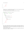```
13 \langle/li>
14 )}
15 \times /u116 </Panel>
17 );
18 }
19 }
```
Notice how <small> is used inside of the list element. That's how it is done within the static mockup - and ultimately you want to achieve the same effect.

So far, so good. A tiny step to make is to add a header just like on the mockup:

```
1 class StrengthMeter extends React.Component {
2 render() {
3 let { principles } = this.props;
4
5 return (
6 <Panel>
7 <h5>A good password is:</h5>
8 < ul >
9 {principles.map(principle =>
10 \langle 1i \rangle11 \langle \textsf{small} \rangle12 {principle.label}
13 \times /small14 \times /1115 )}
16 \times /u117 </Panel>
18 );
19 }
20 }
```
Now it's time to implement logic for coloring this list whether a given principle is satisfied or not. Since satisfying process needs the password as an argument, it's time to introduce the password variable in the PasswordInput state. It lies within the state because it'll change in a process - and will trigger appropriate re-renders.

To do so, you need to introduce a constructor to the PasswordInput component class which will set the default password variable to ''. Let's do it!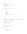```
1 class PasswordInput extends React.Component {
2 constructor(props) {
3 super(props);
4 this.state = { password: '' };
5 }
6
7 render() {
8 let { goodPasswordPrinciples } = this.props;
9
10 return (
11 <Grid>
12 <Row>
13 <Col md={8}>
14 <PasswordField />
15 </Col>
16 \langleCol md={4}>
17 <StrengthMeter principles={goodPasswordPrinciples} />
18 </Col>
19 </Row>
20 </Grid>
21 );
22 }
23 }
```
So far, so good. But you need the password information within the StrengthMeter. It can be done simply by passing the property to StrengthMeter:

```
1 class PasswordInput extends React.Component {
2 constructor(props) {
3 super(props);
4 this.state = { password: '' };
5 }
6
7 render() {
8 let { goodPasswordPrinciples } = this.props;
9 let { password } = this.state;
10
11 return (
12 <Grid>
13 <Row>
14 \langleCol md={8}>
15 <PasswordField />
```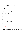```
16 </Col>
17 \langle \text{Col} \text{md} = \{4\} \rangle18 <StrengthMeter principles={goodPasswordPrinciples}
19 password={password} />
20 </Col>
21 </Row>
22 </Grid>
23 );
24 }
25 }
```
Strength meter now got the password provided. That means you can provide a handy method for checking whether a principle is satisfied or not.

```
1 class StrengthMeter extends React.Component {
2 principleSatisfied(principle) {
3 let { password } = this.props;
4
5 return principle.predicate(password);
6 }
7
8 render() {
9 let { principles } = this.props;
10
11 return (
12 <Panel>
13 <h5>A good password is:</h5>
14 \langle \textbf{u} \rangle15 {principles.map(principle =>
16 <li>
17 \langle \texttt{small} \rangle18 {principle.label}
19 \angle /small20 \langle/li>
21 )}
22 \langle \text{u1} \rangle23 </Panel>
24 );
25 }
26 }
```
Since you got your primary information defined as a handy method, now you should transform it into something visual. Here the classNames utility will be used to set CSS classes on principle list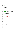Password Strength Meter 11

elements based on the status of principle satisfaction. Remember to import the appropriate function:

```
1 import classNames from 'classnames';
```
With this utility you can create principleClass method which will return the appropriate class for the principle list element:

```
1 class StrengthMeter extends React.Component {
2 principleSatisfied(principle) {
3 let { password } = this.props;
4
5 return principle.predicate(password);
6 }
7
8 principleClass(principle) {
9 let satisfied = this.principleSatisfied(principle);
10
11 return classNames({
12 ["text-success"]: satisfied,
13 ["text-danger"]: !satisfied
14 });
15 }
16
17 render() {
18 let { principles } = this.props;
19
20 return (
21 <Panel>
22 <h5>A good password is: </h5>
23 <ul>
24 {principles.map(principle =>
25 <li className={this.principleClass(principle)>
26 \langle \textsf{small1} \rangle27 {principle.label}
28 </small>
29 \langle/li>
30 )}
31 \langle \text{UL}\rangle32 </Panel>
33 );
34 }
35 }
```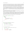classNames takes an object with CSS classes as keys - and creates an appropriate class string from all keys that has values evaluating to the truthy value. It allows you to work with conditional CSS classes in an easy way. In previous versions of React it was the built in utility from the React.addons, called classSet. In recent versions of React it's gone and needs to be installed separately.

Next interesting thing in this example is the new ECMAScript 2015 syntax for defining keys. If you use [ and ] brackets the key defined will be a return value of an expression inside those brackets. It allows you to define keys based on function return values, use string literals to define keys with special symbols like "-", or use backticks string syntax to define keys with interpolated values in it. Neat!

To test whether this logic works or not, try to change the password default value - you'll see that appropriate CSS classes will get appended to list elements.

That's how the logical piece of *principle list* is implemented. As has been said before, it's usual that in React such logical pieces are mapped directly into components. That means you should extract a PrinciplesList component out of StrengthMeter component and use it. It's simple. You just need to copy logic from the StrengthMeter component down and use the newly component as a replacement to a piece of previous tree rendered by render. It can be done like this:

```
1 class StrengthMeter extends React.Component {
2 render() {
3 return (
4 <Panel>
5 <h5>A good password is:</h5>
6 <PrinciplesList {...this.props} />
7 </Panel>
8 );
9 }
10 }
11
12 class PrinciplesList extends React.Component {
13 principleSatisfied(principle) {
14 let { password } = this.props;
15
16 return principle.predicate(password);
17 }
18
19 principleClass(principle) {
20 let satisfied = this.principleSatisfied(principle);
21
22 return classNames({
23 ["text-success"]: satisfied,
24 ["text-danger"]: !satisfied
```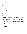```
25 });
26 }
27
28 render() {
29 let { principles } = this.props;
30
31 return (
32 <ul>
33 {principles.map(principle =>
34 <li className={this.principleClass(principle)}>
35 \langle \textsf{small} \rangle36 {principle.label}
37 \langle/small>
38 </li>
39 )}
40 </ul>
41 );
42 }
43 }
```
As you can see, it's a fairly mechanical step to do - principleSatisfied and principleClass are moved down to the PrinciplesList component. Then you cut the part of the tree from render (In this case  $\langle u_1, \ldots, \langle u_n \rangle$  and rendered it within the lower-level component.

Since it is a new component, you must pass needed properties down to it. And there is a very interesting syntax used. You can use {...object} syntax to pass the whole object as properties in JSX. It is part of the bigger feature called *object spread operator*. You can use it in ECMAScript 2016 (a.k.a ECMAScript 7 or ES7) codebase today - and read more about it [here](https://github.com/sebmarkbage/ecmascript-rest-spread)<sup>3</sup>. One of the transpilers that support it is [Babel.js](http://babeljs.io/docs/usage/experimental/)<sup>4</sup>. It is built into JSX regardless you use ECMAScript 2016 features in your codebase or not.

Since your this.props in StrengthMeter component is { principles:  $\langle $1 \rangle$ , password:  $\langle $2 \rangle$  }, the syntax:

```
1 <PrinciplesList {...this.props} />
```
Is equal to saying:

```
1 <PrinciplesList principles={<$1>} password={<$2>} />
```
<span id="page-13-1"></span><span id="page-13-0"></span>³<https://github.com/sebmarkbage/ecmascript-rest-spread> ⁴<http://babeljs.io/docs/usage/experimental/>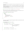It is a very handy shortcut to passing all or all except some of properties down to the lower-level components.

OK. One of the logical pieces is done - and a component representing it is created. To finish the strength meter logical piece, there is one more thing - a progress bar which brings the visual feedback how strong your password is.

Let's start with a static progress bar. Remember to import it from your react-bootstrap package:

1 **import** { Grid, Row, Col, Panel, ProgressBar } from 'react-bootstrap';

Then, add it in your StrengthMeter component. Why there? Because you'll extract the PrinciplesProgress component later, just like you did with PrinciplesList.

```
1 class StrengthMeter extends React.Component {
2 render() {
3 return (
4 <Panel>
5 <ProgressBar now={50} />
6 \langle h5 \rangleA good password is:\langle h5 \rangle7 <PrinciplesList {...this.props} />
8 </Panel>
9 );
10 }
11 }
```
As you can see, now property manages how the progress bar is filled. Let's attach a behaviour which will manage this number.

```
1 class StrengthMeter extends React.Component {
2 satisfiedPercent() {
3 let { principles, password } = this.props;
4
5 let satisfiedCount = principles.map(p => p.predicate(password))
6 .reduce((count, satisfied) =>
7 count + (satisfied ? 1 : 0)
8 , 0);
\bigcirc10 let principlesCount = principles.length;
11
12 return (satisfiedCount / principlesCount) * 100.0;
13 }
14
```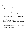```
15 render() {
16 return (
17 <Panel>
18 <ProgressBar now={this.satisfiedPercent()} />
19 <h5>A good password is:</h5>
20 <PrinciplesList {...this.props} />
21 </Panel>
22 );
23 }
24 }
```
Computing this percent is made by using two functions from the standard library - map and reduce.

To compute how many principles are satisfied, an array of principles is taken. Then it is mapped to an array which contains boolean values of predicate results. So if your password is '1\$a', the principles.map( $p \Rightarrow p$ .predicate(password)) will return [false, true, true] array.

After computing this result, a reduce is called to obtain the count of satisfied principles.

reduce function takes two parameters:

- an *accumulating function* which will get called with two arguments: an *accumulating value* and an element of the array;
- a starting *accumulating value*:

The idea is simple - reduce iterates through your array and modifies its *accumulating value* after each step. After traversing the whole array, the final accumulating value is returned as a result. It is called folding a collection in functional languages.

The accumulating value passed to the current element is the return value of the accumulating function called on the previous element or the starting value if it is a first element.

So in case of this [false, true, true] array described before, reduce will do the following things:

- Call the *accumulating function* with arguments  $\theta$  and false. Since the second argument is false, 0 is returned from this function.
- Call the *accumulating function* with arguments 0 and true. Since the second argument is true, 1 is added to 0, resulting in a return value of 1.
- Call the accumulating function with argument 1 and true. Since the second argument is true, 1 is added to 1, resulting in a return value of 2.
- There are no more elements in this array. 2 is returned as a return value of the whole reduce function.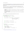You can read more about this function [here](https://developer.mozilla.org/pl/docs/Web/JavaScript/Referencje/Obiekty/Array/Reduce)<sup>5</sup>. It can make your code much more concise - but be careful to not hurt maintainability. Accumulating functions should be short and the whole result properly named.

Since your satisfiedCount is computed, the standard equation for computing percent is used.

All that is left is to provide a proper style ("green" / "yellow" / "red" state described before) of the progress bar, based on the computed percent.

- Awful password progress bar is red and an input is in "red" state (1/3 or less principles satisfied)
- Mediocre password progress bar is yellow and an input is in "yellow" state (more than 1/3 to 2/3 principles satisfied)
- Great password progress bar is green and an input is in "green" state (2/3 or more principles satisfied)

To do so, let's introduce another method that will check these 'color states'.

```
1 class StrengthMeter extends React.Component {
2 satisfiedPercent() {
3 let { principles, password } = this.props;
4
5 let satisfiedCount = principles.map(p => p.predicate(password))
6 .reduce((count, satisfied) =>
7 count + (satisfied ? 1 : 0)
8 , 0);
9
10 let principlesCount = principles.length;
11
12 return (satisfiedCount / principlesCount) * 100.0;
13 }
14
15 progressColor() {
16 let percentage = this.satisfiedPercent();
17
18 return classNames({
19 danger: (percentage < 33.4),
20 success: (percentage > = 66.7),
21 warning: (percentage >= 33.4 && percentage < 66.7)
22 });
23 }
```
<span id="page-16-0"></span>⁵<https://developer.mozilla.org/pl/docs/Web/JavaScript/Referencje/Obiekty/Array/Reduce>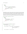```
24
25 render() {
26 return (
27 <Panel>
28 <ProgressBar now={this.satisfiedPercent()}
29 bsStyle={this.progressColor()} />
30 <h5>A good password is:</h5>
31 <PrinciplesList {...this.props} />
32 </Panel>
33 );
34 }
35 }
```
Neat thing about classNames is that you can also use it here - look at how it is used in this example. Since all color state options are mutually exclusive, only the single string will get returned - which is also a valid CSS class statement. It allows us to express this logic in an elegant way without if's.

That means we got all pieces of the strength meter done. You can switch to PasswordField implementation. But first, extract the logical pieces of principles progress into a separate component.

```
1 class StrengthMeter extends React.Component {
2 render() {
3 return (
4 <Panel>
5 <PrinciplesProgress {...this.props} />
6 \times h5>A good password is: \langle h5 \rangle7 <PrinciplesList {...this.props} />
8 </Panel>
9 );
10 }
11 }
12
13 class PrinciplesProgress extends React.Component {
14 satisfiedPercent() {
15 let { principles, password } = this.props;
16
17 let satisfiedCount = principles.map(p => p.predicate(password))
18 .reduce((count, satisfied) =>
19 count + (satisfied ? 1 : 0)
20 , 0);
21
22 let principlesCount = principles.length;
23
```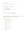```
24 return (satisfiedCount / principlesCount) * 100.0;
25 }
26
27 progressColor() {
28 let percentage = this.satisfiedPercent();
29
30 return classNames({
31 danger: (percentage < 33.4),
32 success: (percentage > = 66.7),
33 warning: (percentage >= 33.4 && percentage \leq 66.7)
34 });
35 }
36
37 render() {
38 return (<ProgressBar now={this.satisfiedPercent()}
39 bsStyle={this.progressColor()} />);
40 }
41 }
```
You can leave StrengthMeter for now - it is finished. Let's compare the produced HTML with the static HTML mockup. "mwhkz1\$ is used as a default state to compare:

```
1 <div class="panel panel-default">
2 <div class="panel-body">
3 <div class="progress">
4 <div class="progress-bar progress-bar-success"
5 style="width:100%"></div>
6 </div>
7 <h5>A good password is:</h5>
8 <ul>
9 <li class="text-success">
10 <small>
11 6+ characters
12 </small>
13 </li>
14 <li class="text-success">
15 <small>
16 with at least one digit
17 </small>
18 </li>
19 <li class="text-success">
20 <small>
```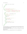```
21 with at least one special character
22 //small>
23 </li>
24 </ul>
25 </div>
26 </div>
1 <div class="panel panel-default" data-reactid="...">
2 <div class="panel-body" data-reactid="...">
3 <div min="0" max="100" class="progress" data-reactid="...">
4 <div min="0" max="100" class="progress-bar progress-bar-success"
5 role="progressbar" style="width:100%;" aria-valuenow="100"
6 aria-valuemin="0" aria-valuemax="100" data-reactid="...">
7 </div>
8 </div>
9 <h5 data-reactid="...">A good password is:</h5>
10 <ul data-reactid="...">
11 <li class="text-success" data-reactid="...">
12 <small data-reactid="...">
13 6+ characters
14 //small>
15 </li>
16 <li class="text-success" data-reactid="...">
17 <small data-reactid="...">
18 with at least one digit
19 //small>
20 </li>
21 <li class="text-success" data-reactid="...">
22 <small data-reactid="...">
23 with at least one special character
24 </small>
25 </li>
26 </ul>
27 </div>
28 </div>
```
Apart from the special data-reactid attributes added to be used by React internally, the syntax is very similar. React-Bootstrap progress bar component added an accessibility attributes that were absent in the static mockup. Very neat!

The last part of this feature is still to be done. It is a PasswordField component. Let's start with adding a static input.

Remember to import the Input component from the react-bootstrap package, like this: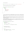Password Strength Meter 20

**import** { Grid, Row, Col, Panel, ProgressBar, Input } from 'react-bootstrap';

Then, add a static input to the PasswordField component:

```
1 class PasswordField extends React.Component {
2 render() {
3 return (
4 <Input
5 type='password'
6 label='Password'
7 hasFeedback
8 />
9 );
10 }
11 }
```
hasFeedback property takes care of adding feedback icons, like it is done in a mockup. When you set an appropriate bsStyle (which will be done later), a proper icon will show up on the right of the input.

You need to modify the password using an input. Since PasswordField is the owner of this data, both the data and a handler responsible for changing password must be passed to PasswordField component as properties.

Let's write a handler which will take the password as an argument and change PasswordField password state. Since it will be passed as a property, you must bind it to the PasswordField instance in the constructor. It can be done like this:

```
1 class PasswordInput extends React.Component {
2 constructor(props) {
3 super(props);
4 this.state = { password: '' };
5
6 this.changePassword = this.changePassword.bind(this);
7 }
8
9 changePassword(password) {
10 this.setState({ password });
11 }
12
13 render() {
14 let { goodPasswordPrinciples } = this.props;
15 let { password } = this.state;
```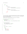```
16
17 return (
18 <Grid>
19 <Row>
20 \langle \text{Col} \text{md} = \{8\} \rangle21 <PasswordField password={password}
22 onPasswordChange={this.changePassword} />
23 </Col>
24 \langleCol md={4}>
25 <StrengthMeter password={password}
26 principles={goodPasswordPrinciples} />
27 </Col>
28 </Row>
29 </Grid>
30 );
31 }
32 }
```
As you can see there is changePassword method which takes a password and directly calling setState. This method is pushed down via the onPasswordChange property - an event handler on the lower level will call this method.

Speaking of which, let's define this handler in the PasswordField component:

```
1 class PasswordField extends React.Component {
2 constructor(props) {
3 super(props);
4 this.handlePasswordChange = this.handlePasswordChange.bind(this);
5 }
6
7 handlePasswordChange(ev) {
8 let { onPasswordChange } = this.props;
9 onPasswordChange(ev.target.value);
10 }
11
12 render() {
13 let { password } = this.props;
14
15 return (
16 <Input
17 type='password'
18 label='Password'
19 value={password}
```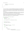```
20 onChange={this.handlePasswordChange}
21 hasFeedback
22 />
23 );
24 }
25 }
```
As you can see, there is a very thin wrapper defined to pass data from an event handler to the onPasswordChange callback. Generally you should avoid defining high-level API in terms of events - it's very easy to write a wrapper like this. A higher-level method which is defined in terms of password is a great help when comes to testing such component - both in the manual and the automatic way.

The last thing left to do is implementing logic of setting the proper "color state" of an input. This is a very similar logic that you defined before with progress bar color state. The easiest way to implement it is to copy this behaviour for now - with a very slight modification.

But before doing so your password principles must be passed as a property to the PasswordField component. I bet you already know how to do that - just pass it as a property of the PasswordField component rendered within the PasswordInput higher level component:

```
1 class PasswordInput extends React.Component {
2 constructor(props) {
3 super(props);
4 this.state = { password: '' };
5
6 this.changePassword = this.changePassword.bind(this);
7 }
8
9 changePassword(password) {
10 this.setState({ password });
11 }
12
13 render() {
14 let { goodPasswordPrinciples } = this.props;
15 let { password } = this.state;
16
17 return (
18 <Grid>
19 <Row>
20 < Col md={8}>
21 <PasswordField password={password}
22 onPasswordChange={this.changePassword}
```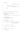```
23 principles={goodPasswordPrinciples} />
24 \times /CO125 \langle \text{Col} \text{md} = \{4\} \rangle26 <StrengthMeter password={password}
27 principles={goodPasswordPrinciples} />
28 </col>
29 </Row>
30 </Grid>
31 );
32 }
33 }
```
Since you got all the data needed, copying is the very simple step now:

```
1 class PasswordField extends React.Component {
2 constructor(props) {
3 super(props);
4 this.handlePasswordChange = this.handlePasswordChange.bind(this);
5 }
6
7 handlePasswordChange(ev) {
8 let { onPasswordChange } = this.props;
9 onPasswordChange(ev.target.value);
10 }
11
12 satisfiedPercent() {
13 let { principles, password } = this.props;
14
15 let satisfiedCount = principles.map(p => p.predicate(password))
16 .reduce((count, satisfied) =>
17 count + (satisfied ? 1 : 0)
18 , 0);
19
20 let principlesCount = principles.length;
21
22 return (satisfiedCount / principlesCount) * 100.0;
23 }
24
25 inputColor() {
26 let percentage = this.satisfiedPercent();
27
28 return classNames({
```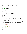```
29 error: (percentage < 33.4),
30 success: (percentage >= 66.7),
31 warning: (percentage >= 33.4 && percentage < 66.7)
32 \quad \{ \};
33 }
34
35 render() {
36 let { password } = this.props;
37
38 return (
39 <Input
40 type='password'
41 label='Password'
42 value={password}
43 bsStyle={this.inputColor()}
44 onChange={this.handlePasswordChange}
45 hasFeedback
46 />
47 );
48 }
49 }
```
There is a slight modification made while copying this logic. Apart from changing method name from progressColor to inputColor, one case of the color state was changed from danger to error. It is an inconsistency present in the React-Bootstrap API. The rest stays the same - you even use the same property to pass the color state (called bsStyle). hasFeedback takes care of displaying proper icons when the state changes.

That's it. The whole component is implemented. To be sure whether it is done correctly, let's compare the output produced by React with the static HTML mockup that has been presented before. Password used to render this 'snapshot' of the state is "mwhkz1" - so the "yellow" state.

```
1 <div class="container">
2 <div class="row">
3 <div class="col-md-8">
4 <div class="form-group has-warning has-feedback">
5 <label class="control-label"
6 for="password-input">Password</label>
7 <input type="password"
8 class="form-control"
9 id="password-input"
10 value="mwhkz1"
11 placeholder="Password" />
```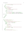| 12     | <span <="" class="glyphicon glyphicon-warning-sign form-control-feedback" th=""></span>     |
|--------|---------------------------------------------------------------------------------------------|
| 13     | aria-hidden="true">                                                                         |
| 14     | $\langle$ /div>                                                                             |
| 15     | $\langle$ /div>                                                                             |
| 16     | <div class="col-md-4"></div>                                                                |
| 17     | <div class="panel panel-default"></div>                                                     |
| 18     | <div class="panel-body"></div>                                                              |
| 19     | <div class="progress"></div>                                                                |
| 20     | <div <="" class="progress-bar progress-bar-warning" th=""></div>                            |
| 21     | style="width:66%">                                                                          |
| 22     | $\langle$ /div>                                                                             |
| 23     | <h5>A good password is: </h5>                                                               |
| 24     | $\langle$ ul>                                                                               |
| 25     | <li class="text-success"><small>6+ characters</small></li>                                  |
| 26     | <li class="text-success"><small>with at least one digit</small></li>                        |
| 27     | <li class="text-danger"><small>with at least one special character<!--\</td--></small></li> |
| 28     | $small\times/li\$                                                                           |
| 29     | $\langle \text{u1} \rangle$                                                                 |
| 30     |                                                                                             |
| 31     | $\langle$ /div>                                                                             |
| 32     | $\langle$ /div>                                                                             |
| 33     | $\langle$ /div>                                                                             |
| 34     | $\langle$ /div>                                                                             |
|        |                                                                                             |
| 1<br>2 | <div class="container" data-reactid=""><br/><div class="row" data-reactid=""></div></div>   |
| 3      | <div class="col-md-8" data-reactid=""></div>                                                |
| 4      | <div class="form-group has-feedback has-warning" data-reactid=""></div>                     |
| 5      | <label class="control-label" data-reactid=""></label>                                       |
| 6      | <span data-reactid="">Password</span>                                                       |
| 7      |                                                                                             |
| 8      | <input <="" td="" type="password"/>                                                         |
| 9      | label="Password"                                                                            |
| 10     | value=""                                                                                    |
| 11     | class="form-control"                                                                        |
| 12     | data-reactid="">                                                                            |
| 13     | <span <="" class="glyphicon form-control-feedback glyphicon-warning-sign" td=""></span>     |
| 14     | data-reactid="">                                                                            |
| 15     | $\langle$ /div $\rangle$                                                                    |
| 16     | $\langle$ /div $\rangle$                                                                    |
| 17     | <div class="col-md-4" data-reactid=""></div>                                                |
| 18     | <div class="panel panel-default" data-reactid=""></div>                                     |
|        |                                                                                             |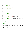```
19 <div class="panel-body" data-reactid="...">
20 <div min="0" max="100" class="progress" data-reactid="...">
21 <div min="0" max="100"
22 class="progress-bar progress-bar-warning"
23 role="progressbar"
24 style="width: 66.667%;"
25 aria-valuenow="66.66666666666666"
26 aria-valuemin="0"
27 aria-valuemax="100"
28 data-reactid="...">
29 </div>
30 </div>
31 <h5 data-reactid="...">A good password is:</h5>
32 <ul data-reactid="...">
33 <li class="text-success" data-reactid="...">
34 <small data-reactid="...">
35 6+ characters
36 </small>
37 </li>
38 <li class="text-success" data-reactid="...">
39 Example 20 in the solution of the solution of the state of the state of the state of the state of the state of the state of the state of the state of the state of the state of the state of the state of the state of the
40 </li>
41 <li class="text-danger" data-reactid="...">
42 <small data-reactid="...">with at least one special character</sma\
43 ll>
44 </li>
45 </ul>
46 </div>
47 </div>
48 </div>
49 </div>
50 </div>
```
Apart from the <span> elements wrapping "text" nodes and accessibility improvements to progress bar that React-Bootstrap provides, the markup matches. That means you achieved your goal of implementing password strength meter logic in React. Great work!

## **What's next?**

It is a smell that logic of the color state is duplicated. It can be fixed by moving it to the higherlevel component (PasswordInput) or by introducing a higher-order component which is a mixin